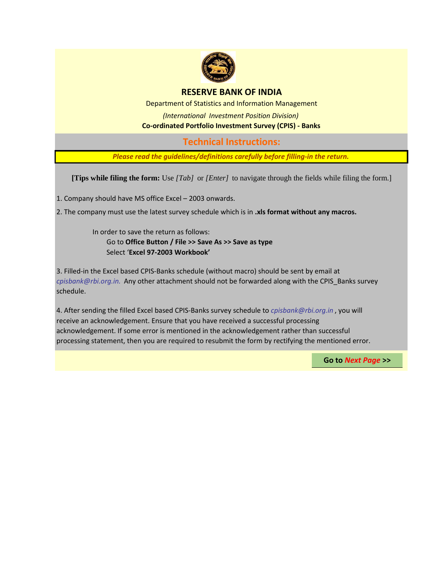

## **RESERVE BANK OF INDIA**

Department of Statistics and Information Management

*(International Investment Position Division)* **Co-ordinated Portfolio Investment Survey (CPIS) - Banks**

**Technical Instructions:**

*Please read the guidelines/definitions carefully before filling-in the return.*

**[Tips while filing the form:** Use *[Tab]* or *[Enter]* to navigate through the fields while filing the form.]

1. Company should have MS office Excel – 2003 onwards.

2. The company must use the latest survey schedule which is in **.xls format without any macros.**

In order to save the return as follows: Go to **Office Button / File >> Save As >> Save as type** Select '**Excel 97-2003 Workbook'**

3. Filled-in the Excel based CPIS-Banks schedule (without macro) should be sent by email at *cpisbank@rbi.org.in.* Any other attachment should not be forwarded along with the CPIS\_Banks survey schedule.

4. After sending the filled Excel based CPIS-Banks survey schedule to *cpisbank@rbi.org.in* , you will receive an acknowledgement. Ensure that you have received a successful processing acknowledgement. If some error is mentioned in the acknowledgement rather than successful processing statement, then you are required to resubmit the form by rectifying the mentioned error.

**Go to** *Next Page* **>>**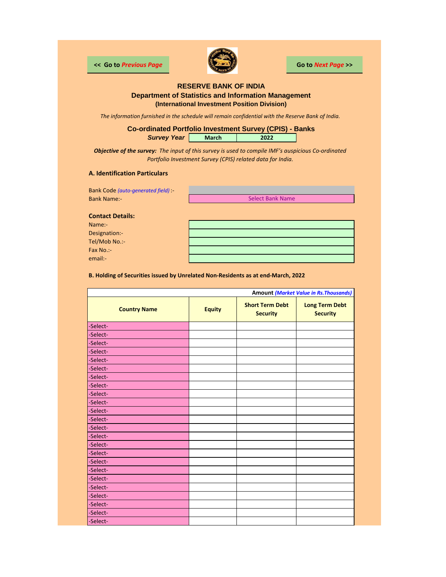

**<< Go to** *Previous Page* **Go to** *Next Page* **>>**

### **RESERVE BANK OF INDIA Department of Statistics and Information Management (International Investment Position Division)**

*The information furnished in the schedule will remain confidential with the Reserve Bank of India.*

**Survey Year | March | 2022 Co-ordinated Portfolio Investment Survey (CPIS) - Banks**

*Objective of the survey: The input of this survey is used to compile IMF's auspicious Co-ordinated Portfolio Investment Survey (CPIS) related data for India.*

#### **A. Identification Particulars**

Bank Code *(auto-generated field)* :- Bank Name:-

Select Bank Name

**Contact Details:**

Name:- Designation:- Tel/Mob No.:- Fax No.: email:-

**B. Holding of Securities issued by Unrelated Non-Residents as at end-March, 2022**

|                     |               |                                           | <b>Amount (Market Value in Rs. Thousands)</b> |
|---------------------|---------------|-------------------------------------------|-----------------------------------------------|
| <b>Country Name</b> | <b>Equity</b> | <b>Short Term Debt</b><br><b>Security</b> | <b>Long Term Debt</b><br><b>Security</b>      |
| -Select-            |               |                                           |                                               |
| -Select-            |               |                                           |                                               |
| -Select-            |               |                                           |                                               |
| -Select-            |               |                                           |                                               |
| -Select-            |               |                                           |                                               |
| -Select-            |               |                                           |                                               |
| -Select-            |               |                                           |                                               |
| -Select-            |               |                                           |                                               |
| -Select-            |               |                                           |                                               |
| -Select-            |               |                                           |                                               |
| -Select-            |               |                                           |                                               |
| -Select-            |               |                                           |                                               |
| -Select-            |               |                                           |                                               |
| -Select-            |               |                                           |                                               |
| -Select-            |               |                                           |                                               |
| -Select-            |               |                                           |                                               |
| -Select-            |               |                                           |                                               |
| -Select-            |               |                                           |                                               |
| -Select-            |               |                                           |                                               |
| -Select-            |               |                                           |                                               |
| -Select-            |               |                                           |                                               |
| -Select-            |               |                                           |                                               |
| -Select-            |               |                                           |                                               |
| -Select-            |               |                                           |                                               |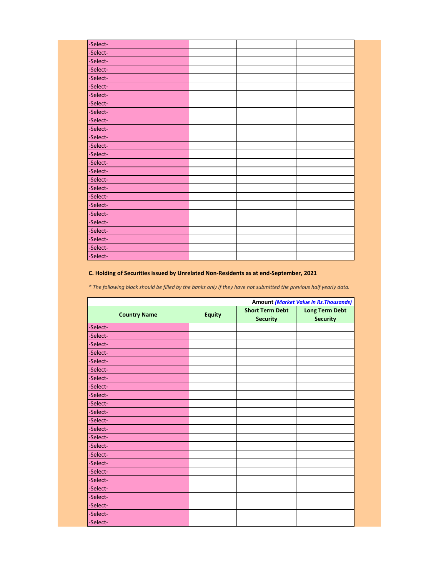| -Select- |  |  |
|----------|--|--|
| -Select- |  |  |
| -Select- |  |  |
| -Select- |  |  |
| -Select- |  |  |
| -Select- |  |  |
| -Select- |  |  |
| -Select- |  |  |
| -Select- |  |  |
| -Select- |  |  |
| -Select- |  |  |
| -Select- |  |  |
| -Select- |  |  |
| -Select- |  |  |
| -Select- |  |  |
| -Select- |  |  |
| -Select- |  |  |
| -Select- |  |  |
| -Select- |  |  |
| -Select- |  |  |
| -Select- |  |  |
| -Select- |  |  |
| -Select- |  |  |
| -Select- |  |  |
| -Select- |  |  |
| -Select- |  |  |

## **C. Holding of Securities issued by Unrelated Non-Residents as at end-September, 2021**

*\* The following block should be filled by the banks only if they have not submitted the previous half yearly data.*

|                     |               |                                           | <b>Amount (Market Value in Rs. Thousands)</b> |
|---------------------|---------------|-------------------------------------------|-----------------------------------------------|
| <b>Country Name</b> | <b>Equity</b> | <b>Short Term Debt</b><br><b>Security</b> | <b>Long Term Debt</b><br><b>Security</b>      |
| -Select-            |               |                                           |                                               |
| -Select-            |               |                                           |                                               |
| -Select-            |               |                                           |                                               |
| -Select-            |               |                                           |                                               |
| -Select-            |               |                                           |                                               |
| -Select-            |               |                                           |                                               |
| -Select-            |               |                                           |                                               |
| -Select-            |               |                                           |                                               |
| -Select-            |               |                                           |                                               |
| -Select-            |               |                                           |                                               |
| -Select-            |               |                                           |                                               |
| -Select-            |               |                                           |                                               |
| -Select-            |               |                                           |                                               |
| -Select-            |               |                                           |                                               |
| -Select-            |               |                                           |                                               |
| -Select-            |               |                                           |                                               |
| -Select-            |               |                                           |                                               |
| -Select-            |               |                                           |                                               |
| -Select-            |               |                                           |                                               |
| -Select-            |               |                                           |                                               |
| -Select-            |               |                                           |                                               |
| -Select-            |               |                                           |                                               |
| -Select-            |               |                                           |                                               |
| -Select-            |               |                                           |                                               |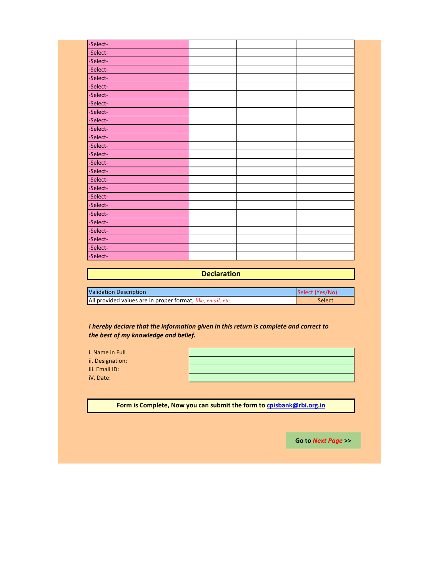| -Select- |  |  |
|----------|--|--|
| -Select- |  |  |
| -Select- |  |  |
| -Select- |  |  |
| -Select- |  |  |
| -Select- |  |  |
| -Select- |  |  |
| -Select- |  |  |
| -Select- |  |  |
| -Select- |  |  |
| -Select- |  |  |
| -Select- |  |  |
| -Select- |  |  |
| -Select- |  |  |
| -Select- |  |  |
| -Select- |  |  |
| -Select- |  |  |
| -Select- |  |  |
| -Select- |  |  |
| -Select- |  |  |
| -Select- |  |  |
| -Select- |  |  |
| -Select- |  |  |
| -Select- |  |  |
| -Select- |  |  |
| -Select- |  |  |

| <b>Declaration</b>                                          |                 |
|-------------------------------------------------------------|-----------------|
|                                                             |                 |
| Validation Description                                      | Select (Yes/No) |
| All provided values are in proper format, like, email, etc. | Select          |

*I hereby declare that the information given in this return is complete and correct to the best of my knowledge and belief.*

| i. Name in Full  |  |
|------------------|--|
| ii. Designation: |  |
| iii. Email ID:   |  |
| iV. Date:        |  |

**Form is Complete, Now you can submit the form to cpisbank@rbi.org.in**

**Go to** *Next Page* **>>**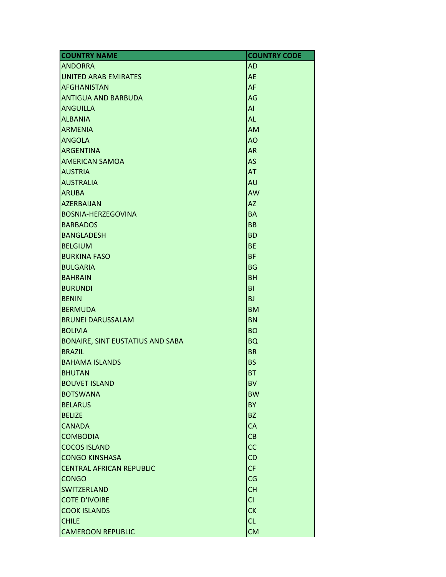| <b>COUNTRY NAME</b>                     | <b>COUNTRY CODE</b> |
|-----------------------------------------|---------------------|
| <b>ANDORRA</b>                          | <b>AD</b>           |
| <b>UNITED ARAB EMIRATES</b>             | <b>AE</b>           |
| <b>AFGHANISTAN</b>                      | AF                  |
| <b>ANTIGUA AND BARBUDA</b>              | AG                  |
| <b>ANGUILLA</b>                         | AI                  |
| <b>ALBANIA</b>                          | <b>AL</b>           |
| <b>ARMENIA</b>                          | <b>AM</b>           |
| <b>ANGOLA</b>                           | AO                  |
| <b>ARGENTINA</b>                        | <b>AR</b>           |
| <b>AMERICAN SAMOA</b>                   | AS                  |
| <b>AUSTRIA</b>                          | <b>AT</b>           |
| <b>AUSTRALIA</b>                        | <b>AU</b>           |
| <b>ARUBA</b>                            | <b>AW</b>           |
| <b>AZERBAIJAN</b>                       | <b>AZ</b>           |
| <b>BOSNIA-HERZEGOVINA</b>               | <b>BA</b>           |
| <b>BARBADOS</b>                         | <b>BB</b>           |
| <b>BANGLADESH</b>                       | <b>BD</b>           |
| <b>BELGIUM</b>                          | <b>BE</b>           |
| <b>BURKINA FASO</b>                     | <b>BF</b>           |
| <b>BULGARIA</b>                         | <b>BG</b>           |
| <b>BAHRAIN</b>                          | <b>BH</b>           |
| <b>BURUNDI</b>                          | BI                  |
| <b>BENIN</b>                            | <b>BJ</b>           |
| <b>BERMUDA</b>                          | <b>BM</b>           |
| <b>BRUNEI DARUSSALAM</b>                | <b>BN</b>           |
| <b>BOLIVIA</b>                          | <b>BO</b>           |
| <b>BONAIRE, SINT EUSTATIUS AND SABA</b> | <b>BQ</b>           |
| <b>BRAZIL</b>                           | <b>BR</b>           |
| <b>BAHAMA ISLANDS</b>                   | <b>BS</b>           |
| <b>BHUTAN</b>                           | <b>BT</b>           |
| <b>BOUVET ISLAND</b>                    | <b>BV</b>           |
| <b>BOTSWANA</b>                         | <b>BW</b>           |
| <b>BELARUS</b>                          | <b>BY</b>           |
| <b>BELIZE</b>                           | <b>BZ</b>           |
| <b>CANADA</b>                           | <b>CA</b>           |
| <b>COMBODIA</b>                         | CB                  |
| <b>COCOS ISLAND</b>                     | <b>CC</b>           |
| <b>CONGO KINSHASA</b>                   | CD                  |
| <b>CENTRAL AFRICAN REPUBLIC</b>         | CF                  |
| <b>CONGO</b>                            | CG                  |
| <b>SWITZERLAND</b>                      | <b>CH</b>           |
| <b>COTE D'IVOIRE</b>                    | CI                  |
| <b>COOK ISLANDS</b>                     | <b>CK</b>           |
| <b>CHILE</b>                            | CL                  |
| <b>CAMEROON REPUBLIC</b>                | <b>CM</b>           |
|                                         |                     |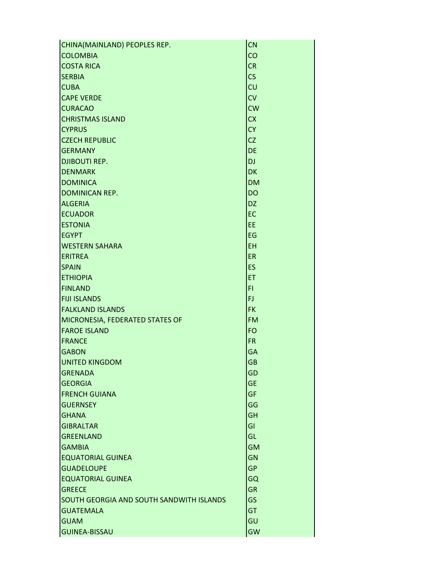| CHINA(MAINLAND) PEOPLES REP.             | <b>CN</b> |
|------------------------------------------|-----------|
| <b>COLOMBIA</b>                          | CO        |
| <b>COSTA RICA</b>                        | <b>CR</b> |
| <b>SERBIA</b>                            | CS        |
| <b>CUBA</b>                              | CU        |
| <b>CAPE VERDE</b>                        | CV        |
| <b>CURACAO</b>                           | <b>CW</b> |
| <b>CHRISTMAS ISLAND</b>                  | <b>CX</b> |
| <b>CYPRUS</b>                            | <b>CY</b> |
| <b>CZECH REPUBLIC</b>                    | <b>CZ</b> |
| <b>GERMANY</b>                           | <b>DE</b> |
| <b>DJIBOUTI REP.</b>                     | <b>DJ</b> |
| <b>DENMARK</b>                           | <b>DK</b> |
| <b>DOMINICA</b>                          | <b>DM</b> |
| <b>DOMINICAN REP.</b>                    | <b>DO</b> |
| <b>ALGERIA</b>                           | <b>DZ</b> |
| <b>ECUADOR</b>                           | EC        |
| <b>ESTONIA</b>                           | EE        |
| <b>EGYPT</b>                             | EG        |
| <b>WESTERN SAHARA</b>                    | <b>EH</b> |
| <b>ERITREA</b>                           | ER        |
| <b>SPAIN</b>                             | <b>ES</b> |
| <b>ETHIOPIA</b>                          | ET        |
| <b>FINLAND</b>                           | FI.       |
| <b>FIJI ISLANDS</b>                      | FJ.       |
| <b>FALKLAND ISLANDS</b>                  | <b>FK</b> |
| MICRONESIA, FEDERATED STATES OF          | <b>FM</b> |
| <b>FAROE ISLAND</b>                      | <b>FO</b> |
| <b>FRANCE</b>                            | <b>FR</b> |
| <b>GABON</b>                             | GA        |
| <b>UNITED KINGDOM</b>                    | <b>GB</b> |
| <b>GRENADA</b>                           | GD        |
| <b>GEORGIA</b>                           | <b>GE</b> |
| <b>FRENCH GUIANA</b>                     | <b>GF</b> |
| <b>GUERNSEY</b>                          | GG        |
| <b>GHANA</b>                             | <b>GH</b> |
| <b>GIBRALTAR</b>                         | GI        |
| <b>GREENLAND</b>                         | GL        |
| <b>GAMBIA</b>                            | <b>GM</b> |
| <b>EQUATORIAL GUINEA</b>                 | <b>GN</b> |
| <b>GUADELOUPE</b>                        | <b>GP</b> |
| <b>EQUATORIAL GUINEA</b>                 | GQ        |
| <b>GREECE</b>                            | <b>GR</b> |
| SOUTH GEORGIA AND SOUTH SANDWITH ISLANDS | GS        |
| <b>GUATEMALA</b>                         | <b>GT</b> |
| <b>GUAM</b>                              | GU        |
| <b>GUINEA-BISSAU</b>                     | <b>GW</b> |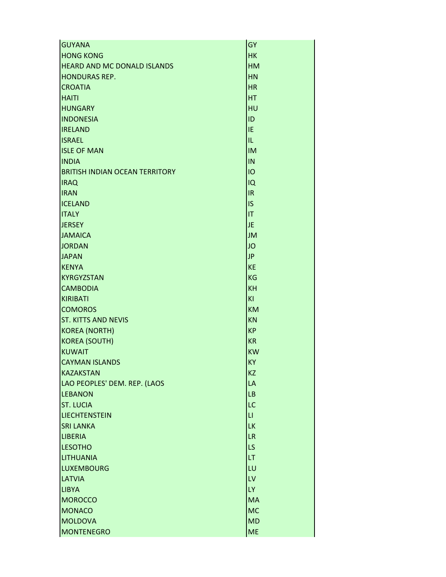| <b>GUYANA</b>                         | <b>GY</b>              |
|---------------------------------------|------------------------|
| <b>HONG KONG</b>                      | <b>HK</b>              |
| <b>HEARD AND MC DONALD ISLANDS</b>    | <b>HM</b>              |
| <b>HONDURAS REP.</b>                  | <b>HN</b>              |
| <b>CROATIA</b>                        | <b>HR</b>              |
| <b>HAITI</b>                          | <b>HT</b>              |
| <b>HUNGARY</b>                        | HU                     |
| <b>INDONESIA</b>                      | ID                     |
| <b>IRELAND</b>                        | IE                     |
| <b>ISRAEL</b>                         | IL.                    |
| <b>ISLE OF MAN</b>                    | <b>IM</b>              |
| <b>INDIA</b>                          | IN                     |
| <b>BRITISH INDIAN OCEAN TERRITORY</b> | IO                     |
| <b>IRAQ</b>                           | IQ                     |
| <b>IRAN</b>                           | IR.                    |
| <b>ICELAND</b>                        | <b>IS</b>              |
| <b>ITALY</b>                          | IT                     |
| <b>JERSEY</b>                         | <b>JE</b>              |
| <b>JAMAICA</b>                        | <b>JM</b>              |
| <b>JORDAN</b>                         | <b>JO</b>              |
| <b>JAPAN</b>                          | <b>JP</b>              |
| <b>KENYA</b>                          | <b>KE</b>              |
| <b>KYRGYZSTAN</b>                     | <b>KG</b>              |
| <b>CAMBODIA</b>                       | <b>KH</b>              |
| <b>KIRIBATI</b>                       | KI                     |
| <b>COMOROS</b>                        | <b>KM</b>              |
| <b>ST. KITTS AND NEVIS</b>            | <b>KN</b>              |
| <b>KOREA (NORTH)</b>                  | <b>KP</b>              |
| <b>KOREA (SOUTH)</b>                  | <b>KR</b>              |
| <b>KUWAIT</b>                         | <b>KW</b>              |
| <b>CAYMAN ISLANDS</b>                 | <b>KY</b>              |
| <b>KAZAKSTAN</b>                      | <b>KZ</b>              |
| LAO PEOPLES' DEM. REP. (LAOS          | LA                     |
| <b>LEBANON</b>                        | LB                     |
| <b>ST. LUCIA</b>                      | LC                     |
| <b>LIECHTENSTEIN</b>                  | $\mathsf{L}\mathsf{L}$ |
| <b>SRI LANKA</b>                      | LK                     |
| <b>LIBERIA</b>                        | <b>LR</b>              |
| <b>LESOTHO</b>                        | LS                     |
| <b>LITHUANIA</b>                      | LT                     |
| <b>LUXEMBOURG</b>                     | LU                     |
| <b>LATVIA</b>                         | LV                     |
| <b>LIBYA</b>                          | LY.                    |
| <b>MOROCCO</b>                        | <b>MA</b>              |
| <b>MONACO</b>                         | <b>MC</b>              |
| <b>MOLDOVA</b>                        | <b>MD</b>              |
| <b>MONTENEGRO</b>                     | <b>ME</b>              |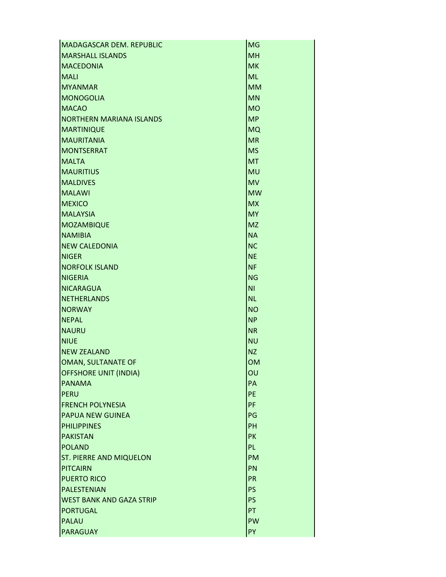| MADAGASCAR DEM. REPUBLIC                   | <b>MG</b>       |
|--------------------------------------------|-----------------|
| <b>MARSHALL ISLANDS</b>                    | <b>MH</b>       |
| <b>MACEDONIA</b>                           | <b>MK</b>       |
| <b>MALI</b>                                | <b>ML</b>       |
| <b>MYANMAR</b>                             | <b>MM</b>       |
| <b>MONOGOLIA</b>                           | <b>MN</b>       |
| <b>MACAO</b>                               | <b>MO</b>       |
| <b>NORTHERN MARIANA ISLANDS</b>            | <b>MP</b>       |
| <b>MARTINIQUE</b>                          | <b>MQ</b>       |
| <b>MAURITANIA</b>                          | <b>MR</b>       |
| MONTSERRAT                                 | <b>MS</b>       |
| <b>MALTA</b>                               | MT              |
| <b>MAURITIUS</b>                           | MU              |
| <b>MALDIVES</b>                            | <b>MV</b>       |
| <b>MALAWI</b>                              | <b>MW</b>       |
| <b>MEXICO</b>                              | <b>MX</b>       |
| <b>MALAYSIA</b>                            | <b>MY</b>       |
| MOZAMBIQUE                                 | <b>MZ</b>       |
| <b>NAMIBIA</b>                             | <b>NA</b>       |
| <b>NEW CALEDONIA</b>                       | <b>NC</b>       |
| <b>NIGER</b>                               | <b>NE</b>       |
| <b>NORFOLK ISLAND</b>                      | <b>NF</b>       |
| NIGERIA                                    | <b>NG</b>       |
| NICARAGUA                                  | ΝI              |
| NETHERLANDS                                | <b>NL</b>       |
| <b>NORWAY</b>                              | <b>NO</b>       |
| <b>NEPAL</b>                               | <b>NP</b>       |
| <b>NAURU</b>                               | <b>NR</b>       |
| <b>NIUE</b>                                | <b>NU</b>       |
| <b>NEW ZEALAND</b>                         | <b>NZ</b>       |
| OMAN, SULTANATE OF                         | <b>OM</b>       |
| <b>OFFSHORE UNIT (INDIA)</b>               | OU              |
| <b>PANAMA</b>                              | PA              |
| PERU                                       | <b>PE</b>       |
| <b>FRENCH POLYNESIA</b>                    | PF              |
| <b>PAPUA NEW GUINEA</b>                    | PG              |
| <b>PHILIPPINES</b>                         | PH              |
| <b>PAKISTAN</b><br>POLAND                  | PK              |
|                                            | PL.             |
| <b>ST. PIERRE AND MIQUELON</b><br>PITCAIRN | <b>PM</b><br>PN |
| <b>PUERTO RICO</b>                         | <b>PR</b>       |
| PALESTENIAN                                | PS              |
| <b>WEST BANK AND GAZA STRIP</b>            | <b>PS</b>       |
| <b>PORTUGAL</b>                            | PT              |
| PALAU                                      | PW              |
| <b>PARAGUAY</b>                            | PY              |
|                                            |                 |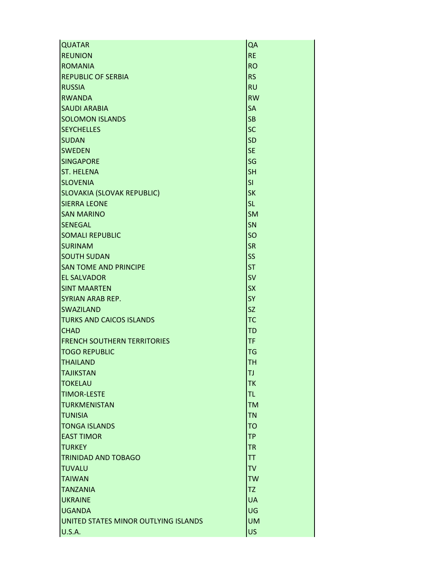| <b>QUATAR</b>                        | QA        |
|--------------------------------------|-----------|
| <b>REUNION</b>                       | <b>RE</b> |
| <b>ROMANIA</b>                       | <b>RO</b> |
| <b>REPUBLIC OF SERBIA</b>            | <b>RS</b> |
| <b>RUSSIA</b>                        | <b>RU</b> |
| <b>RWANDA</b>                        | <b>RW</b> |
| <b>SAUDI ARABIA</b>                  | <b>SA</b> |
| <b>SOLOMON ISLANDS</b>               | <b>SB</b> |
| <b>SEYCHELLES</b>                    | <b>SC</b> |
| <b>SUDAN</b>                         | <b>SD</b> |
| <b>SWEDEN</b>                        | <b>SE</b> |
| <b>SINGAPORE</b>                     | SG        |
| <b>ST. HELENA</b>                    | <b>SH</b> |
| <b>SLOVENIA</b>                      | SI        |
| <b>SLOVAKIA (SLOVAK REPUBLIC)</b>    | <b>SK</b> |
| <b>SIERRA LEONE</b>                  | <b>SL</b> |
| <b>SAN MARINO</b>                    | <b>SM</b> |
| <b>SENEGAL</b>                       | SN        |
| <b>SOMALI REPUBLIC</b>               | SO        |
| <b>SURINAM</b>                       | <b>SR</b> |
| <b>SOUTH SUDAN</b>                   | <b>SS</b> |
| <b>SAN TOME AND PRINCIPE</b>         | <b>ST</b> |
| <b>EL SALVADOR</b>                   | <b>SV</b> |
| <b>SINT MAARTEN</b>                  | <b>SX</b> |
| <b>SYRIAN ARAB REP.</b>              | <b>SY</b> |
| <b>SWAZILAND</b>                     | <b>SZ</b> |
| <b>TURKS AND CAICOS ISLANDS</b>      | TC        |
| <b>CHAD</b>                          | <b>TD</b> |
| <b>IFRENCH SOUTHERN TERRITORIES</b>  | TF        |
| <b>TOGO REPUBLIC</b>                 | <b>TG</b> |
| <b>THAILAND</b>                      | <b>TH</b> |
| <b>TAJIKSTAN</b>                     | TJ        |
| <b>TOKELAU</b>                       | TK        |
| <b>TIMOR-LESTE</b>                   | TL        |
| <b>TURKMENISTAN</b>                  | <b>TM</b> |
| <b>TUNISIA</b>                       | <b>TN</b> |
| <b>TONGA ISLANDS</b>                 | <b>TO</b> |
| <b>EAST TIMOR</b>                    | <b>TP</b> |
| <b>TURKEY</b>                        | <b>TR</b> |
| <b>TRINIDAD AND TOBAGO</b>           | TT        |
| <b>TUVALU</b>                        | <b>TV</b> |
| <b>TAIWAN</b>                        | <b>TW</b> |
| <b>TANZANIA</b>                      | TZ        |
| <b>UKRAINE</b>                       | <b>UA</b> |
| <b>UGANDA</b>                        | UG        |
| UNITED STATES MINOR OUTLYING ISLANDS | <b>UM</b> |
| <b>U.S.A.</b>                        | <b>US</b> |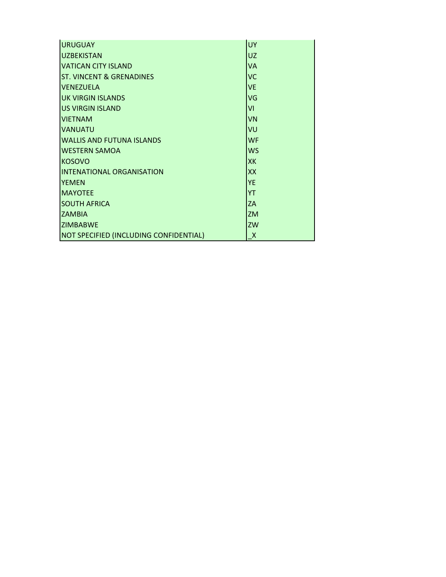| <b>URUGUAY</b>                         | <b>UY</b>    |
|----------------------------------------|--------------|
| <b>UZBEKISTAN</b>                      | <b>UZ</b>    |
| <b>VATICAN CITY ISLAND</b>             | <b>VA</b>    |
| <b>ST. VINCENT &amp; GRENADINES</b>    | <b>VC</b>    |
| <b>VENEZUELA</b>                       | <b>VE</b>    |
| <b>UK VIRGIN ISLANDS</b>               | VG           |
| <b>US VIRGIN ISLAND</b>                | VI           |
| <b>VIETNAM</b>                         | <b>VN</b>    |
| <b>VANUATU</b>                         | VU           |
| <b>WALLIS AND FUTUNA ISLANDS</b>       | <b>WF</b>    |
| <b>WESTERN SAMOA</b>                   | <b>WS</b>    |
| <b>KOSOVO</b>                          | <b>XK</b>    |
| <b>INTENATIONAL ORGANISATION</b>       | <b>XX</b>    |
| <b>YEMEN</b>                           | <b>YE</b>    |
| <b>MAYOTEE</b>                         | <b>YT</b>    |
| <b>SOUTH AFRICA</b>                    | ZA           |
| <b>ZAMBIA</b>                          | <b>ZM</b>    |
| <b>ZIMBABWE</b>                        | ZW           |
| NOT SPECIFIED (INCLUDING CONFIDENTIAL) | $\mathsf{X}$ |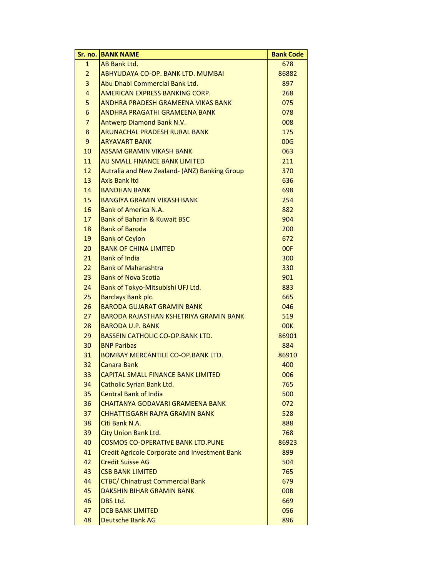| Sr. no.                 | <b>BANK NAME</b>                                     | <b>Bank Code</b> |
|-------------------------|------------------------------------------------------|------------------|
| $\mathbf{1}$            | AB Bank Ltd.                                         | 678              |
| $\overline{2}$          | ABHYUDAYA CO-OP, BANK LTD, MUMBAI                    | 86882            |
| 3                       | Abu Dhabi Commercial Bank Ltd.                       | 897              |
| $\overline{\mathbf{4}}$ | AMERICAN EXPRESS BANKING CORP.                       | 268              |
| 5                       | ANDHRA PRADESH GRAMEENA VIKAS BANK                   | 075              |
| 6                       | ANDHRA PRAGATHI GRAMEENA BANK                        | 078              |
| $\overline{7}$          | Antwerp Diamond Bank N.V.                            | 008              |
| 8                       | ARUNACHAL PRADESH RURAL BANK                         | 175              |
| 9                       | <b>ARYAVART BANK</b>                                 | 00G              |
| 10                      | ASSAM GRAMIN VIKASH BANK                             | 063              |
| 11                      | AU SMALL FINANCE BANK LIMITED                        | 211              |
| 12                      | Autralia and New Zealand- (ANZ) Banking Group        | 370              |
| 13                      | <b>Axis Bank Itd</b>                                 | 636              |
| 14                      | <b>BANDHAN BANK</b>                                  | 698              |
| 15                      | <b>BANGIYA GRAMIN VIKASH BANK</b>                    | 254              |
| 16                      | <b>Bank of America N.A.</b>                          | 882              |
| 17                      | <b>Bank of Baharin &amp; Kuwait BSC</b>              | 904              |
| 18                      | <b>Bank of Baroda</b>                                | 200              |
| 19                      | <b>Bank of Ceylon</b>                                | 672              |
| 20                      | <b>BANK OF CHINA LIMITED</b>                         | 00F              |
| 21                      | <b>Bank of India</b>                                 | 300              |
| 22                      | <b>Bank of Maharashtra</b>                           | 330              |
| 23                      | <b>Bank of Nova Scotia</b>                           | 901              |
| 24                      | Bank of Tokyo-Mitsubishi UFJ Ltd.                    | 883              |
| 25                      | Barclays Bank plc.                                   | 665              |
| 26                      | <b>BARODA GUJARAT GRAMIN BANK</b>                    | 046              |
| 27                      | <b>BARODA RAJASTHAN KSHETRIYA GRAMIN BANK</b>        | 519              |
| 28                      | <b>BARODA U.P. BANK</b>                              | <b>00K</b>       |
| 29                      | <b>BASSEIN CATHOLIC CO-OP.BANK LTD.</b>              | 86901            |
| 30                      | <b>BNP Paribas</b>                                   | 884              |
| 31                      | <b>BOMBAY MERCANTILE CO-OP.BANK LTD.</b>             | 86910            |
| 32                      | <b>Canara Bank</b>                                   | 400              |
| 33                      | CAPITAL SMALL FINANCE BANK LIMITED                   | 006              |
| 34                      | Catholic Syrian Bank Ltd.                            | 765              |
| 35                      | <b>Central Bank of India</b>                         | 500              |
| 36                      | CHAITANYA GODAVARI GRAMEENA BANK                     | 072              |
| 37                      | <b>CHHATTISGARH RAJYA GRAMIN BANK</b>                | 528              |
| 38                      | Citi Bank N.A.                                       | 888              |
| 39                      | City Union Bank Ltd.                                 | 768              |
| 40                      | <b>COSMOS CO-OPERATIVE BANK LTD.PUNE</b>             | 86923            |
| 41                      | <b>Credit Agricole Corporate and Investment Bank</b> | 899              |
| 42                      | <b>Credit Suisse AG</b>                              | 504              |
| 43                      | <b>CSB BANK LIMITED</b>                              | 765              |
| 44                      | <b>CTBC/ Chinatrust Commercial Bank</b>              | 679              |
| 45                      | DAKSHIN BIHAR GRAMIN BANK                            | 00 <sub>B</sub>  |
| 46                      | DBS Ltd.                                             | 669              |
| 47                      | <b>DCB BANK LIMITED</b>                              | 056              |
| 48                      | <b>Deutsche Bank AG</b>                              | 896              |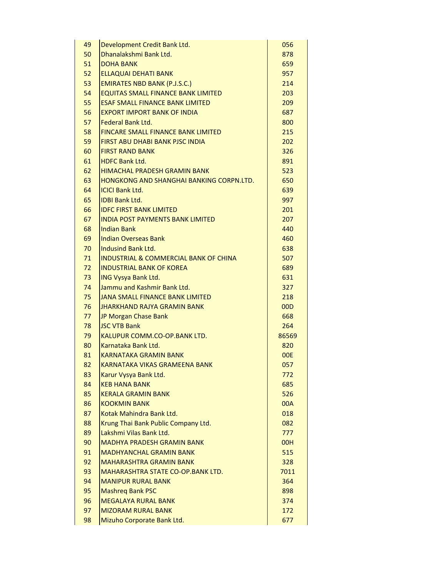| 49 | Development Credit Bank Ltd.                     | 056   |
|----|--------------------------------------------------|-------|
| 50 | Dhanalakshmi Bank Ltd.                           | 878   |
| 51 | <b>DOHA BANK</b>                                 | 659   |
| 52 | <b>ELLAQUAI DEHATI BANK</b>                      | 957   |
| 53 | <b>EMIRATES NBD BANK (P.J.S.C.)</b>              | 214   |
| 54 | <b>EQUITAS SMALL FINANCE BANK LIMITED</b>        | 203   |
| 55 | <b>ESAF SMALL FINANCE BANK LIMITED</b>           | 209   |
| 56 | <b>EXPORT IMPORT BANK OF INDIA</b>               | 687   |
| 57 | Federal Bank Ltd.                                | 800   |
| 58 | <b>FINCARE SMALL FINANCE BANK LIMITED</b>        | 215   |
| 59 | <b>FIRST ABU DHABI BANK PJSC INDIA</b>           | 202   |
| 60 | <b>FIRST RAND BANK</b>                           | 326   |
| 61 | <b>HDFC Bank Ltd.</b>                            | 891   |
| 62 | <b>HIMACHAL PRADESH GRAMIN BANK</b>              | 523   |
| 63 | HONGKONG AND SHANGHAI BANKING CORPN.LTD.         | 650   |
| 64 | <b>ICICI Bank Ltd.</b>                           | 639   |
| 65 | <b>IDBI Bank Ltd.</b>                            | 997   |
| 66 | <b>IDFC FIRST BANK LIMITED</b>                   | 201   |
| 67 | <b>INDIA POST PAYMENTS BANK LIMITED</b>          | 207   |
| 68 | <b>Indian Bank</b>                               | 440   |
| 69 | <b>Indian Overseas Bank</b>                      | 460   |
| 70 | Indusind Bank Ltd.                               | 638   |
| 71 | <b>INDUSTRIAL &amp; COMMERCIAL BANK OF CHINA</b> | 507   |
| 72 | <b>INDUSTRIAL BANK OF KOREA</b>                  | 689   |
| 73 | <b>ING Vysya Bank Ltd.</b>                       | 631   |
| 74 | Jammu and Kashmir Bank Ltd.                      | 327   |
| 75 | <b>JANA SMALL FINANCE BANK LIMITED</b>           | 218   |
| 76 | <b>JHARKHAND RAJYA GRAMIN BANK</b>               | 00D   |
| 77 | JP Morgan Chase Bank                             | 668   |
| 78 | <b>JSC VTB Bank</b>                              | 264   |
| 79 | KALUPUR COMM.CO-OP.BANK LTD.                     | 86569 |
| 80 | Karnataka Bank Ltd.                              | 820   |
| 81 | <b>KARNATAKA GRAMIN BANK</b>                     | 00E   |
| 82 | KARNATAKA VIKAS GRAMFFNA BANK                    | 057   |
| 83 | Karur Vysya Bank Ltd.                            | 772   |
| 84 | <b>KEB HANA BANK</b>                             | 685   |
| 85 | <b>KERALA GRAMIN BANK</b>                        | 526   |
| 86 | <b>KOOKMIN BANK</b>                              | 00A   |
| 87 | Kotak Mahindra Bank Ltd.                         | 018   |
| 88 | Krung Thai Bank Public Company Ltd.              | 082   |
| 89 | Lakshmi Vilas Bank Ltd.                          | 777   |
| 90 | <b>MADHYA PRADESH GRAMIN BANK</b>                | 00H   |
| 91 | <b>MADHYANCHAL GRAMIN BANK</b>                   | 515   |
| 92 | <b>MAHARASHTRA GRAMIN BANK</b>                   | 328   |
| 93 | MAHARASHTRA STATE CO-OP.BANK LTD.                | 7011  |
| 94 | <b>MANIPUR RURAL BANK</b>                        | 364   |
| 95 | <b>Mashreg Bank PSC</b>                          | 898   |
| 96 | <b>MEGALAYA RURAL BANK</b>                       | 374   |
| 97 | <b>MIZORAM RURAL BANK</b>                        | 172   |
| 98 | Mizuho Corporate Bank Ltd.                       | 677   |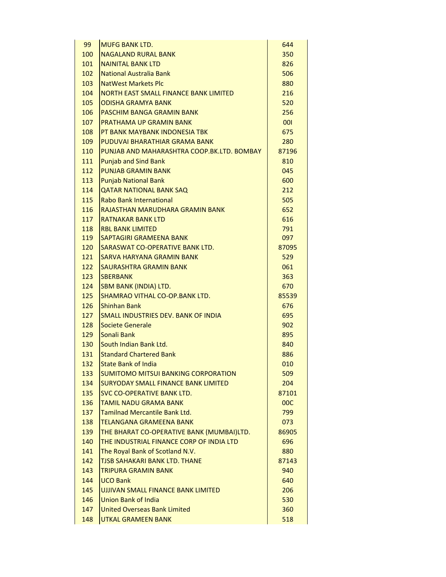| 99  | <b>MUFG BANK LTD.</b>                      | 644   |
|-----|--------------------------------------------|-------|
| 100 | <b>NAGALAND RURAL BANK</b>                 | 350   |
| 101 | <b>NAINITAL BANK LTD</b>                   | 826   |
| 102 | <b>National Australia Bank</b>             | 506   |
| 103 | <b>NatWest Markets Plc</b>                 | 880   |
| 104 | NORTH EAST SMALL FINANCE BANK LIMITED      | 216   |
| 105 | <b>ODISHA GRAMYA BANK</b>                  | 520   |
| 106 | PASCHIM BANGA GRAMIN BANK                  | 256   |
| 107 | PRATHAMA UP GRAMIN BANK                    | 001   |
| 108 | PT BANK MAYBANK INDONESIA TBK              | 675   |
| 109 | PUDUVAI BHARATHIAR GRAMA BANK              | 280   |
| 110 | PUNJAB AND MAHARASHTRA COOP.BK.LTD. BOMBAY | 87196 |
| 111 | <b>Punjab and Sind Bank</b>                | 810   |
| 112 | <b>PUNJAB GRAMIN BANK</b>                  | 045   |
| 113 | <b>Punjab National Bank</b>                | 600   |
| 114 | <b>QATAR NATIONAL BANK SAQ</b>             | 212   |
| 115 | Rabo Bank International                    | 505   |
| 116 | RAJASTHAN MARUDHARA GRAMIN BANK            | 652   |
| 117 | <b>RATNAKAR BANK ITD</b>                   | 616   |
| 118 | <b>RBL BANK LIMITED</b>                    | 791   |
| 119 | SAPTAGIRI GRAMEENA BANK                    | 097   |
| 120 | SARASWAT CO-OPERATIVE BANK LTD.            | 87095 |
| 121 | SARVA HARYANA GRAMIN BANK                  | 529   |
| 122 | <b>SAURASHTRA GRAMIN BANK</b>              | 061   |
| 123 | <b>SBERBANK</b>                            | 363   |
| 124 | <b>SBM BANK (INDIA) LTD.</b>               | 670   |
| 125 | SHAMRAO VITHAL CO-OP.BANK LTD.             | 85539 |
| 126 | <b>Shinhan Bank</b>                        | 676   |
| 127 | SMALL INDUSTRIES DEV. BANK OF INDIA        | 695   |
| 128 | Societe Generale                           | 902   |
| 129 | Sonali Bank                                | 895   |
| 130 | South Indian Bank Ltd.                     | 840   |
| 131 | <b>Standard Chartered Bank</b>             | 886   |
| 132 | <b>State Bank of India</b>                 | 010   |
|     | <b>SUMITOMO MITSUI BANKING CORPORATION</b> |       |
| 133 | <b>SURYODAY SMALL FINANCE BANK LIMITED</b> | 509   |
| 134 |                                            | 204   |
| 135 | SVC CO-OPERATIVE BANK LTD.                 | 87101 |
| 136 | <b>TAMIL NADU GRAMA BANK</b>               | 00C   |
| 137 | <b>Tamilnad Mercantile Bank Ltd.</b>       | 799   |
| 138 | <b>TELANGANA GRAMEENA BANK</b>             | 073   |
| 139 | THE BHARAT CO-OPERATIVE BANK (MUMBAI)LTD.  | 86905 |
| 140 | THE INDUSTRIAL FINANCE CORP OF INDIA LTD   | 696   |
| 141 | The Royal Bank of Scotland N.V.            | 880   |
| 142 | <b>TJSB SAHAKARI BANK LTD. THANE</b>       | 87143 |
| 143 | <b>TRIPURA GRAMIN BANK</b>                 | 940   |
| 144 | <b>UCO Bank</b>                            | 640   |
| 145 | UJJIVAN SMALL FINANCE BANK LIMITED         | 206   |
| 146 | <b>Union Bank of India</b>                 | 530   |
| 147 | <b>United Overseas Bank Limited</b>        | 360   |
| 148 | <b>UTKAL GRAMEEN BANK</b>                  | 518   |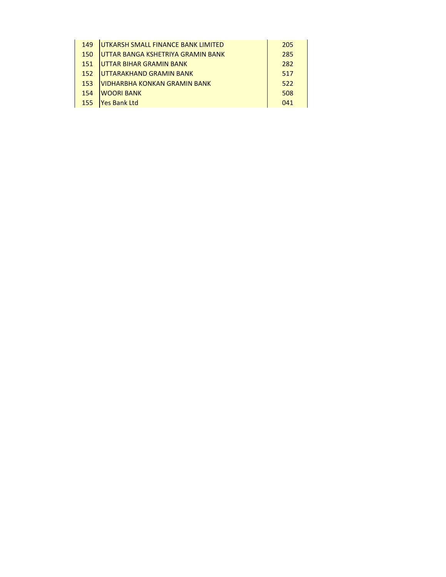| 149 | UTKARSH SMALL FINANCE BANK LIMITED        | 205 |
|-----|-------------------------------------------|-----|
| 150 | <b>JUTTAR BANGA KSHETRIYA GRAMIN BANK</b> | 285 |
| 151 | UTTAR BIHAR GRAMIN BANK                   | 282 |
| 152 | UTTARAKHAND GRAMIN BANK                   | 517 |
| 153 | VIDHARBHA KONKAN GRAMIN BANK              | 522 |
| 154 | <b>WOORI BANK</b>                         | 508 |
| 155 | <b>Yes Bank Ltd</b>                       | 041 |